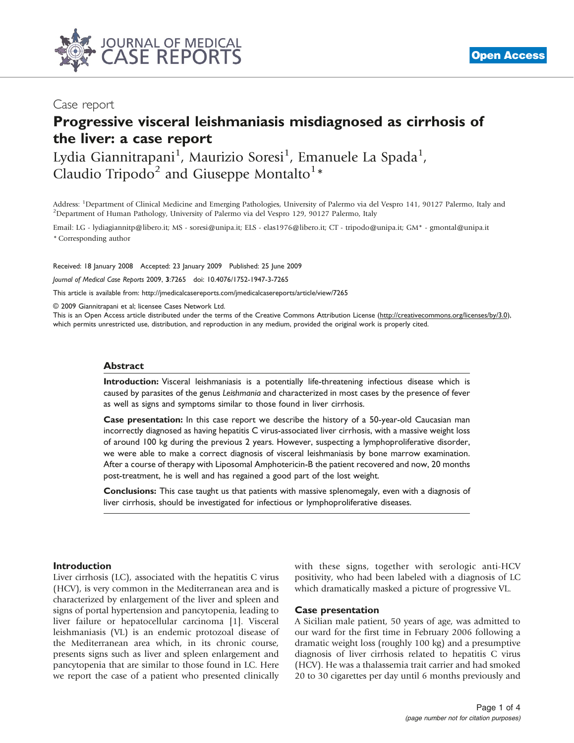

## Case report

# Progressive visceral leishmaniasis misdiagnosed as cirrhosis of the liver: a case report

Lydia Giannitrapani<sup>1</sup>, Maurizio Soresi<sup>1</sup>, Emanuele La Spada<sup>1</sup>, Claudio Tripodo<sup>2</sup> and Giuseppe Montalto<sup>1</sup>\*

Address: <sup>1</sup>Department of Clinical Medicine and Emerging Pathologies, University of Palermo via del Vespro 141, 90127 Palermo, Italy and<br><sup>2</sup>Department of Human Pathology, University of Palermo via del Vespro 129, 90127 Pal <sup>2</sup>Department of Human Pathology, University of Palermo via del Vespro 129, 90127 Palermo, Italy

Email: LG - lydiagiannitp@libero.it; MS - soresi@unipa.it; ELS - elas1976@libero.it; CT - tripodo@unipa.it; GM\* - gmontal@unipa.it \* Corresponding author

Received: 18 January 2008 Accepted: 23 January 2009 Published: 25 June 2009

Journal of Medical Case Reports 2009, 3:7265 doi: 10.4076/1752-1947-3-7265

This article is available from:<http://jmedicalcasereports.com/jmedicalcasereports/article/view/7265>

© 2009 Giannitrapani et al; licensee Cases Network Ltd.

This is an Open Access article distributed under the terms of the Creative Commons Attribution License [\(http://creativecommons.org/licenses/by/3.0\)](http://creativecommons.org/licenses/by/3.0), which permits unrestricted use, distribution, and reproduction in any medium, provided the original work is properly cited.

#### Abstract

Introduction: Visceral leishmaniasis is a potentially life-threatening infectious disease which is caused by parasites of the genus Leishmania and characterized in most cases by the presence of fever as well as signs and symptoms similar to those found in liver cirrhosis.

Case presentation: In this case report we describe the history of a 50-year-old Caucasian man incorrectly diagnosed as having hepatitis C virus-associated liver cirrhosis, with a massive weight loss of around 100 kg during the previous 2 years. However, suspecting a lymphoproliferative disorder, we were able to make a correct diagnosis of visceral leishmaniasis by bone marrow examination. After a course of therapy with Liposomal Amphotericin-B the patient recovered and now, 20 months post-treatment, he is well and has regained a good part of the lost weight.

Conclusions: This case taught us that patients with massive splenomegaly, even with a diagnosis of liver cirrhosis, should be investigated for infectious or lymphoproliferative diseases.

#### Introduction

Liver cirrhosis (LC), associated with the hepatitis C virus (HCV), is very common in the Mediterranean area and is characterized by enlargement of the liver and spleen and signs of portal hypertension and pancytopenia, leading to liver failure or hepatocellular carcinoma [\[1\]](#page-3-0). Visceral leishmaniasis (VL) is an endemic protozoal disease of the Mediterranean area which, in its chronic course, presents signs such as liver and spleen enlargement and pancytopenia that are similar to those found in LC. Here we report the case of a patient who presented clinically with these signs, together with serologic anti-HCV positivity, who had been labeled with a diagnosis of LC which dramatically masked a picture of progressive VL.

#### Case presentation

A Sicilian male patient, 50 years of age, was admitted to our ward for the first time in February 2006 following a dramatic weight loss (roughly 100 kg) and a presumptive diagnosis of liver cirrhosis related to hepatitis C virus (HCV). He was a thalassemia trait carrier and had smoked 20 to 30 cigarettes per day until 6 months previously and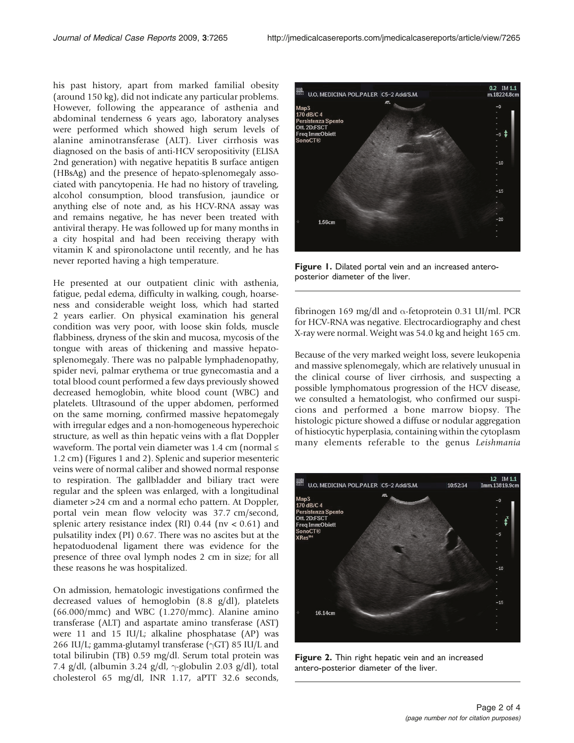his past history, apart from marked familial obesity (around 150 kg), did not indicate any particular problems. However, following the appearance of asthenia and abdominal tenderness 6 years ago, laboratory analyses were performed which showed high serum levels of alanine aminotransferase (ALT). Liver cirrhosis was diagnosed on the basis of anti-HCV seropositivity (ELISA 2nd generation) with negative hepatitis B surface antigen (HBsAg) and the presence of hepato-splenomegaly associated with pancytopenia. He had no history of traveling, alcohol consumption, blood transfusion, jaundice or anything else of note and, as his HCV-RNA assay was and remains negative, he has never been treated with antiviral therapy. He was followed up for many months in a city hospital and had been receiving therapy with vitamin K and spironolactone until recently, and he has never reported having a high temperature.

He presented at our outpatient clinic with asthenia, fatigue, pedal edema, difficulty in walking, cough, hoarseness and considerable weight loss, which had started 2 years earlier. On physical examination his general condition was very poor, with loose skin folds, muscle flabbiness, dryness of the skin and mucosa, mycosis of the tongue with areas of thickening and massive hepatosplenomegaly. There was no palpable lymphadenopathy, spider nevi, palmar erythema or true gynecomastia and a total blood count performed a few days previously showed decreased hemoglobin, white blood count (WBC) and platelets. Ultrasound of the upper abdomen, performed on the same morning, confirmed massive hepatomegaly with irregular edges and a non-homogeneous hyperechoic structure, as well as thin hepatic veins with a flat Doppler waveform. The portal vein diameter was 1.4 cm (normal  $\leq$ 1.2 cm) (Figures 1 and 2). Splenic and superior mesenteric veins were of normal caliber and showed normal response to respiration. The gallbladder and biliary tract were regular and the spleen was enlarged, with a longitudinal diameter >24 cm and a normal echo pattern. At Doppler, portal vein mean flow velocity was 37.7 cm/second, splenic artery resistance index (RI)  $0.44$  (nv < 0.61) and pulsatility index (PI) 0.67. There was no ascites but at the hepatoduodenal ligament there was evidence for the presence of three oval lymph nodes 2 cm in size; for all these reasons he was hospitalized.

On admission, hematologic investigations confirmed the decreased values of hemoglobin (8.8 g/dl), platelets (66.000/mmc) and WBC (1.270/mmc). Alanine amino transferase (ALT) and aspartate amino transferase (AST) were 11 and 15 IU/L; alkaline phosphatase (AP) was 266 IU/L; gamma-glutamyl transferase ( $\gamma$ GT) 85 IU/L and total bilirubin (TB) 0.59 mg/dl. Serum total protein was 7.4 g/dl, (albumin 3.24 g/dl,  $\gamma$ -globulin 2.03 g/dl), total cholesterol 65 mg/dl, INR 1.17, aPTT 32.6 seconds,



Figure 1. Dilated portal vein and an increased anteroposterior diameter of the liver.

fibrinogen 169 mg/dl and  $\alpha$ -fetoprotein 0.31 UI/ml. PCR for HCV-RNA was negative. Electrocardiography and chest X-ray were normal. Weight was 54.0 kg and height 165 cm.

Because of the very marked weight loss, severe leukopenia and massive splenomegaly, which are relatively unusual in the clinical course of liver cirrhosis, and suspecting a possible lymphomatous progression of the HCV disease, we consulted a hematologist, who confirmed our suspicions and performed a bone marrow biopsy. The histologic picture showed a diffuse or nodular aggregation of histiocytic hyperplasia, containing within the cytoplasm many elements referable to the genus Leishmania



Figure 2. Thin right hepatic vein and an increased antero-posterior diameter of the liver.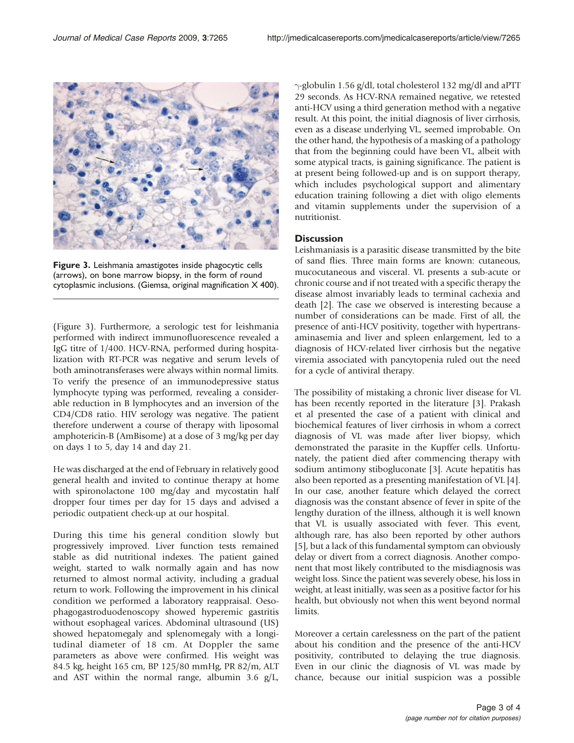

Figure 3. Leishmania amastigotes inside phagocytic cells (arrows), on bone marrow biopsy, in the form of round cytoplasmic inclusions. (Giemsa, original magnification X 400).

(Figure 3). Furthermore, a serologic test for leishmania performed with indirect immunofluorescence revealed a IgG titre of 1/400. HCV-RNA, performed during hospitalization with RT-PCR was negative and serum levels of both aminotransferases were always within normal limits. To verify the presence of an immunodepressive status lymphocyte typing was performed, revealing a considerable reduction in B lymphocytes and an inversion of the CD4/CD8 ratio. HIV serology was negative. The patient therefore underwent a course of therapy with liposomal amphotericin-B (AmBisome) at a dose of 3 mg/kg per day on days 1 to 5, day 14 and day 21.

He was discharged at the end of February in relatively good general health and invited to continue therapy at home with spironolactone 100 mg/day and mycostatin half dropper four times per day for 15 days and advised a periodic outpatient check-up at our hospital.

During this time his general condition slowly but progressively improved. Liver function tests remained stable as did nutritional indexes. The patient gained weight, started to walk normally again and has now returned to almost normal activity, including a gradual return to work. Following the improvement in his clinical condition we performed a laboratory reappraisal. Oesophagogastroduodenoscopy showed hyperemic gastritis without esophageal varices. Abdominal ultrasound (US) showed hepatomegaly and splenomegaly with a longitudinal diameter of 18 cm. At Doppler the same parameters as above were confirmed. His weight was 84.5 kg, height 165 cm, BP 125/80 mmHg, PR 82/m, ALT and AST within the normal range, albumin 3.6 g/L,

 $\gamma$ -globulin 1.56 g/dl, total cholesterol 132 mg/dl and aPTT 29 seconds. As HCV-RNA remained negative, we retested anti-HCV using a third generation method with a negative result. At this point, the initial diagnosis of liver cirrhosis, even as a disease underlying VL, seemed improbable. On the other hand, the hypothesis of a masking of a pathology that from the beginning could have been VL, albeit with some atypical tracts, is gaining significance. The patient is at present being followed-up and is on support therapy, which includes psychological support and alimentary education training following a diet with oligo elements and vitamin supplements under the supervision of a nutritionist.

## **Discussion**

Leishmaniasis is a parasitic disease transmitted by the bite of sand flies. Three main forms are known: cutaneous, mucocutaneous and visceral. VL presents a sub-acute or chronic course and if not treated with a specific therapy the disease almost invariably leads to terminal cachexia and death [\[2\]](#page-3-0). The case we observed is interesting because a number of considerations can be made. First of all, the presence of anti-HCV positivity, together with hypertransaminasemia and liver and spleen enlargement, led to a diagnosis of HCV-related liver cirrhosis but the negative viremia associated with pancytopenia ruled out the need for a cycle of antiviral therapy.

The possibility of mistaking a chronic liver disease for VL has been recently reported in the literature [[3](#page-3-0)]. Prakash et al presented the case of a patient with clinical and biochemical features of liver cirrhosis in whom a correct diagnosis of VL was made after liver biopsy, which demonstrated the parasite in the Kupffer cells. Unfortunately, the patient died after commencing therapy with sodium antimony stibogluconate [[3\]](#page-3-0). Acute hepatitis has also been reported as a presenting manifestation of VL [\[4\]](#page-3-0). In our case, another feature which delayed the correct diagnosis was the constant absence of fever in spite of the lengthy duration of the illness, although it is well known that VL is usually associated with fever. This event, although rare, has also been reported by other authors [[5](#page-3-0)], but a lack of this fundamental symptom can obviously delay or divert from a correct diagnosis. Another component that most likely contributed to the misdiagnosis was weight loss. Since the patient was severely obese, his loss in weight, at least initially, was seen as a positive factor for his health, but obviously not when this went beyond normal limits.

Moreover a certain carelessness on the part of the patient about his condition and the presence of the anti-HCV positivity, contributed to delaying the true diagnosis. Even in our clinic the diagnosis of VL was made by chance, because our initial suspicion was a possible